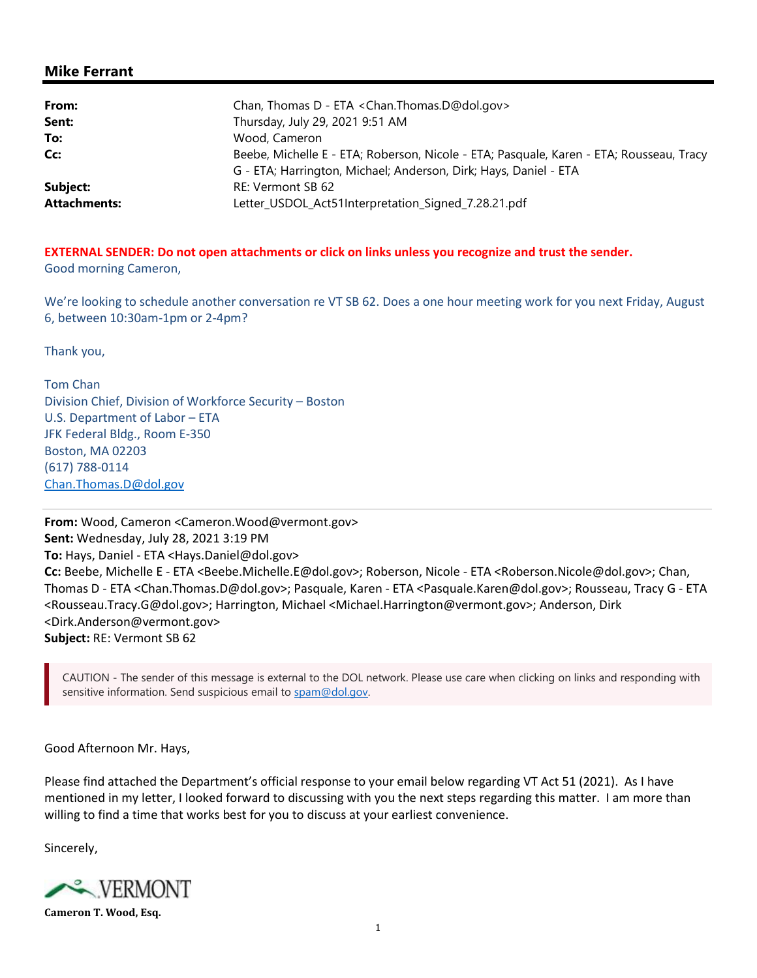## Mike Ferrant

| From:               | Chan, Thomas D - ETA < Chan. Thomas. D@dol.gov>                                         |
|---------------------|-----------------------------------------------------------------------------------------|
| Sent:               | Thursday, July 29, 2021 9:51 AM                                                         |
| To:                 | Wood, Cameron                                                                           |
| Cc:                 | Beebe, Michelle E - ETA; Roberson, Nicole - ETA; Pasquale, Karen - ETA; Rousseau, Tracy |
|                     | G - ETA; Harrington, Michael; Anderson, Dirk; Hays, Daniel - ETA                        |
| Subject:            | RE: Vermont SB 62                                                                       |
| <b>Attachments:</b> | Letter_USDOL_Act51Interpretation_Signed_7.28.21.pdf                                     |

EXTERNAL SENDER: Do not open attachments or click on links unless you recognize and trust the sender. Good morning Cameron,

We're looking to schedule another conversation re VT SB 62. Does a one hour meeting work for you next Friday, August 6, between 10:30am-1pm or 2-4pm?

Thank you,

Tom Chan Division Chief, Division of Workforce Security – Boston U.S. Department of Labor – ETA JFK Federal Bldg., Room E-350 Boston, MA 02203 (617) 788-0114 Chan.Thomas.D@dol.gov

From: Wood, Cameron <Cameron.Wood@vermont.gov> Sent: Wednesday, July 28, 2021 3:19 PM To: Hays, Daniel - ETA <Hays.Daniel@dol.gov> Cc: Beebe, Michelle E - ETA <Beebe.Michelle.E@dol.gov>; Roberson, Nicole - ETA <Roberson.Nicole@dol.gov>; Chan, Thomas D - ETA <Chan.Thomas.D@dol.gov>; Pasquale, Karen - ETA <Pasquale.Karen@dol.gov>; Rousseau, Tracy G - ETA <Rousseau.Tracy.G@dol.gov>; Harrington, Michael <Michael.Harrington@vermont.gov>; Anderson, Dirk <Dirk.Anderson@vermont.gov> Subject: RE: Vermont SB 62

CAUTION - The sender of this message is external to the DOL network. Please use care when clicking on links and responding with sensitive information. Send suspicious email to spam@dol.gov.

Good Afternoon Mr. Hays,

Please find attached the Department's official response to your email below regarding VT Act 51 (2021). As I have mentioned in my letter, I looked forward to discussing with you the next steps regarding this matter. I am more than willing to find a time that works best for you to discuss at your earliest convenience.

Sincerely,



Cameron T. Wood, Esq.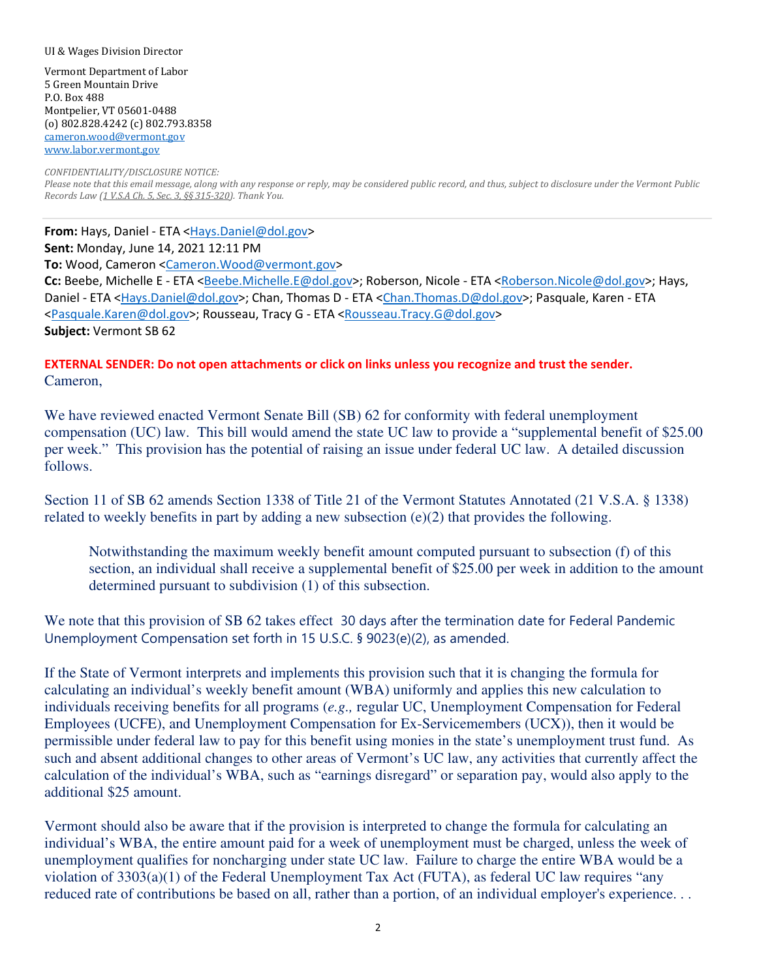## UI & Wages Division Director

Vermont Department of Labor 5 Green Mountain Drive P.O. Box 488 Montpelier, VT 05601-0488 (o) 802.828.4242 (c) 802.793.8358 cameron.wood@vermont.gov www.labor.vermont.gov

CONFIDENTIALITY/DISCLOSURE NOTICE: Please note that this email message, along with any response or reply, may be considered public record, and thus, subject to disclosure under the Vermont Public Records Law (1 V.S.A Ch. 5, Sec. 3, §§ 315-320). Thank You.

From: Hays, Daniel - ETA <Hays.Daniel@dol.gov> Sent: Monday, June 14, 2021 12:11 PM To: Wood, Cameron <Cameron.Wood@vermont.gov> Cc: Beebe, Michelle E - ETA <Beebe.Michelle.E@dol.gov>; Roberson, Nicole - ETA <Roberson.Nicole@dol.gov>; Hays, Daniel - ETA <Hays.Daniel@dol.gov>; Chan, Thomas D - ETA <Chan.Thomas.D@dol.gov>; Pasquale, Karen - ETA <Pasquale.Karen@dol.gov>; Rousseau, Tracy G - ETA <Rousseau.Tracy.G@dol.gov> Subject: Vermont SB 62

## EXTERNAL SENDER: Do not open attachments or click on links unless you recognize and trust the sender. Cameron,

We have reviewed enacted Vermont Senate Bill (SB) 62 for conformity with federal unemployment compensation (UC) law. This bill would amend the state UC law to provide a "supplemental benefit of \$25.00 per week." This provision has the potential of raising an issue under federal UC law. A detailed discussion follows.

Section 11 of SB 62 amends Section 1338 of Title 21 of the Vermont Statutes Annotated (21 V.S.A. § 1338) related to weekly benefits in part by adding a new subsection  $(e)(2)$  that provides the following.

Notwithstanding the maximum weekly benefit amount computed pursuant to subsection (f) of this section, an individual shall receive a supplemental benefit of \$25.00 per week in addition to the amount determined pursuant to subdivision (1) of this subsection.

We note that this provision of SB 62 takes effect 30 days after the termination date for Federal Pandemic Unemployment Compensation set forth in 15 U.S.C. § 9023(e)(2), as amended.

If the State of Vermont interprets and implements this provision such that it is changing the formula for calculating an individual's weekly benefit amount (WBA) uniformly and applies this new calculation to individuals receiving benefits for all programs (*e.g.,* regular UC, Unemployment Compensation for Federal Employees (UCFE), and Unemployment Compensation for Ex-Servicemembers (UCX)), then it would be permissible under federal law to pay for this benefit using monies in the state's unemployment trust fund. As such and absent additional changes to other areas of Vermont's UC law, any activities that currently affect the calculation of the individual's WBA, such as "earnings disregard" or separation pay, would also apply to the additional \$25 amount.

Vermont should also be aware that if the provision is interpreted to change the formula for calculating an individual's WBA, the entire amount paid for a week of unemployment must be charged, unless the week of unemployment qualifies for noncharging under state UC law. Failure to charge the entire WBA would be a violation of 3303(a)(1) of the Federal Unemployment Tax Act (FUTA), as federal UC law requires "any reduced rate of contributions be based on all, rather than a portion, of an individual employer's experience. . .